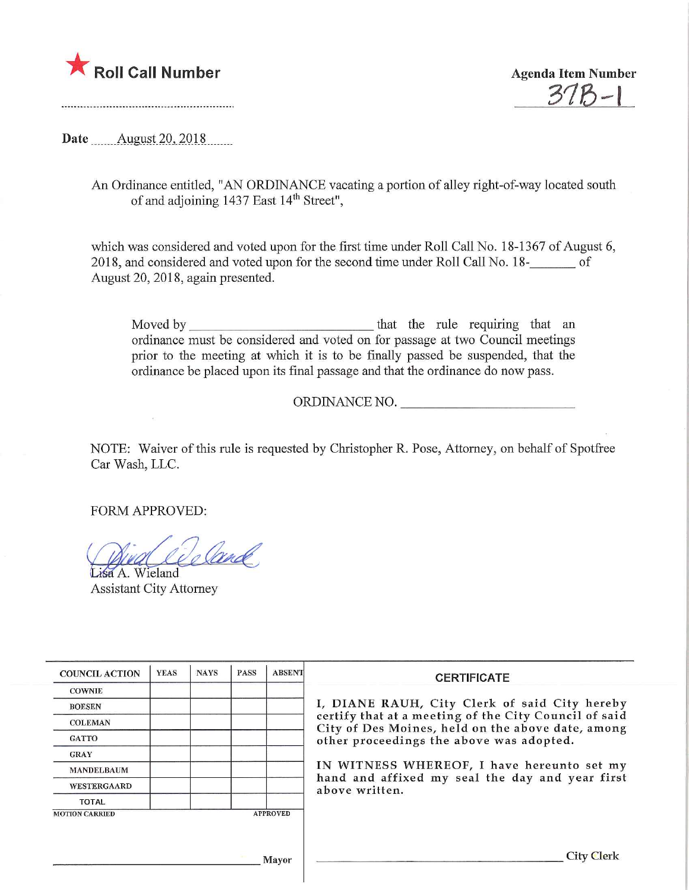

375-1

Date **August** 20, 2018

An Ordinance entitled, "AN ORDINANCE vacating a portion of alley right-of-way located south of and adjoining 1437 East 14th Street",

which was considered and voted upon for the first time under Roll Call No. 18-1367 of August 6, 2018, and considered and voted upon for the second time under Roll Call No. 18-\_ of August 20, 2018, again presented.

Moved by that the rule requiring that an ordinance must be considered and voted on for passage at two Council meetings prior to the meeting at which it is to be finally passed be suspended, that the ordinance be placed upon its final passage and that the ordinance do now pass.

ORDINANCE NO.

NOTE: Waiver of this rule is requested by Christopher R. Pose, Attorney, on behalf of Spotfree Car Wash, LLC.

FORM APPROVED:

 $\bar{L}$ 

De land Lisa A. Wieland

Assistant City Attorney

| <b>COUNCIL ACTION</b>                    | <b>YEAS</b> | <b>NAYS</b> | <b>PASS</b> | <b>ABSENT</b> | <b>CERTIFICATE</b>                                                                                                                                                                                      |  |  |
|------------------------------------------|-------------|-------------|-------------|---------------|---------------------------------------------------------------------------------------------------------------------------------------------------------------------------------------------------------|--|--|
| <b>COWNIE</b>                            |             |             |             |               |                                                                                                                                                                                                         |  |  |
| <b>BOESEN</b>                            |             |             |             |               | I, DIANE RAUH, City Clerk of said City hereby<br>certify that at a meeting of the City Council of said<br>City of Des Moines, held on the above date, among<br>other proceedings the above was adopted. |  |  |
| <b>COLEMAN</b>                           |             |             |             |               |                                                                                                                                                                                                         |  |  |
| <b>GATTO</b>                             |             |             |             |               |                                                                                                                                                                                                         |  |  |
| <b>GRAY</b>                              |             |             |             |               |                                                                                                                                                                                                         |  |  |
| <b>MANDELBAUM</b>                        |             |             |             |               | IN WITNESS WHEREOF, I have hereunto set my<br>hand and affixed my seal the day and year first<br>above written.                                                                                         |  |  |
| <b>WESTERGAARD</b>                       |             |             |             |               |                                                                                                                                                                                                         |  |  |
| <b>TOTAL</b>                             |             |             |             |               |                                                                                                                                                                                                         |  |  |
| <b>MOTION CARRIED</b><br><b>APPROVED</b> |             |             |             |               |                                                                                                                                                                                                         |  |  |
|                                          |             |             |             |               |                                                                                                                                                                                                         |  |  |
|                                          |             |             |             |               |                                                                                                                                                                                                         |  |  |
| Mayor                                    |             |             |             |               | City Clerk                                                                                                                                                                                              |  |  |
|                                          |             |             |             |               |                                                                                                                                                                                                         |  |  |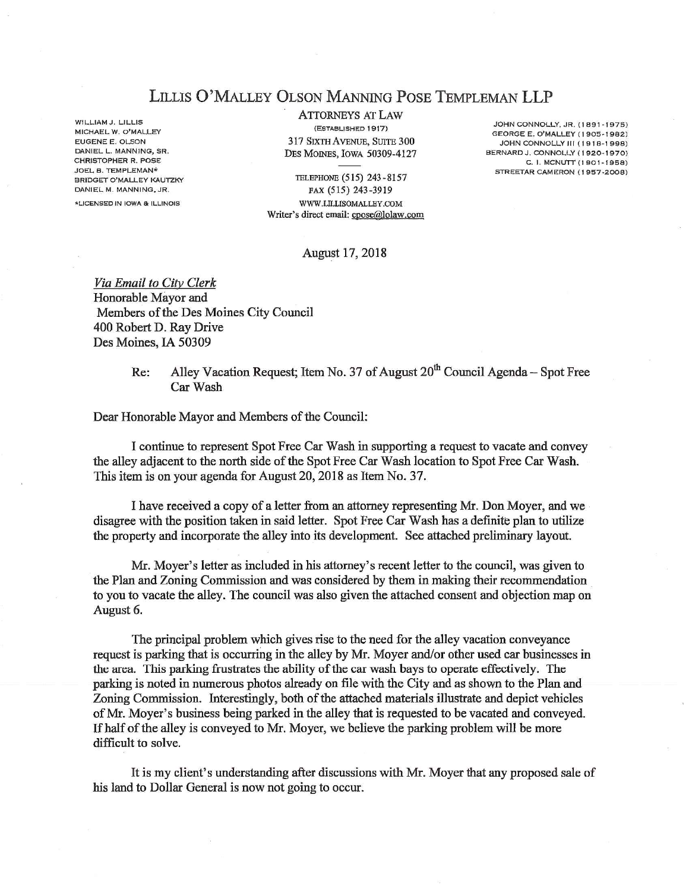## LlLLIS O'MALLEY OLSON MANNING POSE TEMPLEMAN LLP

WILLIAM J. LILLIS MICHAEL W. O'MALLEY EUGENE E. OLSON DANIEL L. MANNING. SR. CHRISTOPHER R. POSE JOEL B. TEMPLEMAN\* BRIDGET O'MALLEY KAUTZKY DANIEL M. MANNING, JR.

\*L!CENSEDIN IOWA & ILLINOIS

ATTORNEYS AT LAW (ESTABLISHED 1917} 317 SIXTH AVENUE, SUITE 300 DES MOINES, IOWA 50309-4127

JOHN CONNOLLY, JR. (1891-1975) GEORGE E. O'MALLEY (1905-1982) JOHN CONNOLLY III (1918-1998) BERNARD J. CONNOLLY (1920-1970)  $C. 1, MCMUTT (1901 - 1958)$ STREETAR CAMERON (1957-2008)

TELEPHONE (5 15) 243-8157 FAX (515) 243-3919 WWW.ULLISOMALLBY.COM Writer's direct email: cpose@lolaw.com

## August 17, 2018

Via Email to City Clerk Honorable Mayor and Members of the Des Moines City Council 400 Robert D. Ray Drive Des Moines, IA 50309

> Re: Alley Vacation Request; Item No. 37 of August  $20<sup>th</sup>$  Council Agenda – Spot Free Car Wash

Dear Honorable Mayor and Members of the Council:

I continue to represent Spot Free Car Wash in supporting a request to vacate and convey the alley adjacent to the north side of the Spot Free Car Wash location to Spot Free Car Wash. This item is on your agenda for August 20,2018 as Item No. 37.

I have received a copy of a letter from an attorney representing Mr. Don Moyer, and we disagree with the position taken in said letter. Spot Free Car Wash has a definite plan to utilize the property and incorporate the alley mto its development. See attached preliminary layout.

Mr. Moyer's letter as included in his attorney's recent letter to the council, was given to the Plan and Zoning Commission and was considered by them in making their recommendation to you to vacate the alley. The council was also given the attached consent and objection map on August 6.

The principal problem which gives rise to the need for the alley vacation conveyance request is parking that is occurring in the alley by Mr. Moyer and/or other used car businesses in the area. This parking frustrates the ability of the car wash bays to operate effectively. The parking is noted in numerous photos already on file with the City and as shown to the Plan and Zoning Commission. Interestingly, both of the attached materials illustrate and depict vehicles of Mr. Moyer's business being parked in the alley that is requested to be vacated said conveyed. If half of the alley is conveyed to Mr. Moyer, we believe the parking problem will be more difficult to solve.

It is my client's understanding after discussions with Mr. Moyer that any proposed sale of his land to Dollar General is now not going to occur.